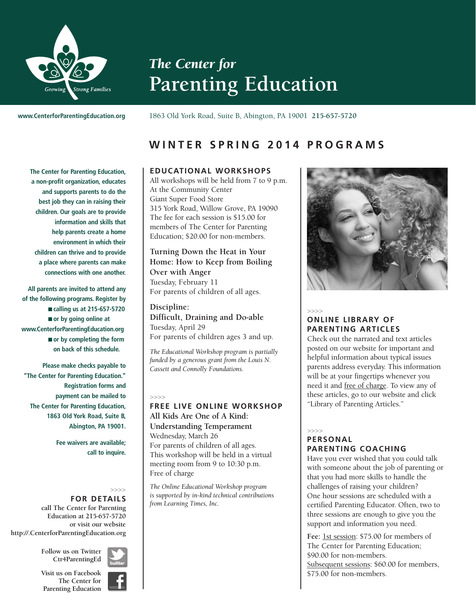

# *The Center for* **Parenting Education**

**www.CenterforParentingEducation.org**

1863 Old York Road, Suite B, Abington, PA 19001 **215-657-5720**

# **W I N T E R S P R I N G 2 0 1 4 P R O G R A M S**

**The Center for Parenting Education, a non-profit organization, educates and supports parents to do the best job they can in raising their children. Our goals are to provide information and skills that help parents create a home environment in which their children can thrive and to provide a place where parents can make connections with one another.**

**All parents are invited to attend any of the following programs. Register by** ■ **calling us at 215-657-5720** ■ **or by going online at www.CenterforParentingEducation.org** ■ **or by completing the form on back of this schedule.**

**Please make checks payable to "The Center for Parenting Education." Registration forms and payment can be mailed to The Center for Parenting Education, 1863 Old York Road, Suite B, Abington, PA 19001.**

> **Fee waivers are available; call to inquire.**

#### >>>> **FOR DETAILS**

**call The Center for Parenting Education at 215-657-5720 or visit our website http://.CenterforParentingEducation.org**



**Follow us on Twitter Ctr4ParentingEd**

**Visit us on Facebook The Center for Parenting Education**



# **EDUCATIONAL WORKSHOPS**

All workshops will be held from 7 to 9 p.m. At the Community Center Giant Super Food Store 315 York Road, Willow Grove, PA 19090 The fee for each session is \$15.00 for members of The Center for Parenting Education; \$20.00 for non-members.

**Turning Down the Heat in Your Home: How to Keep from Boiling Over with Anger** Tuesday, February 11 For parents of children of all ages.

**Discipline: Difficult, Draining and Do-able** Tuesday, April 29 For parents of children ages 3 and up.

*The Educational Workshop program is partially funded by a generous grant from the Louis N. Cassett and Connolly Foundations.*

# >>>>

# **FREE LIVE ONLINE WORKSHOP All Kids Are One of A Kind: Understanding Temperament** Wednesday, March 26 For parents of children of all ages. This workshop will be held in a virtual meeting room from 9 to 10:30 p.m. Free of charge

*The Online Educational Workshop program is supported by in-kind technical contributions from Learning Times, Inc.*



# >>>>

# **ONLINE LIBRARY OF PARENTING ARTICLES**

Check out the narrated and text articles posted on our website for important and helpful information about typical issues parents address everyday. This information will be at your fingertips whenever you need it and free of charge. To view any of these articles, go to our website and click "Library of Parenting Articles."

# >>>> **PERSONAL PARENTING COACHING**

Have you ever wished that you could talk with someone about the job of parenting or that you had more skills to handle the challenges of raising your children? One hour sessions are scheduled with a certified Parenting Educator. Often, two to three sessions are enough to give you the support and information you need.

Fee: 1st session: \$75.00 for members of The Center for Parenting Education; \$90.00 for non-members. Subsequent sessions: \$60.00 for members, \$75.00 for non-members.